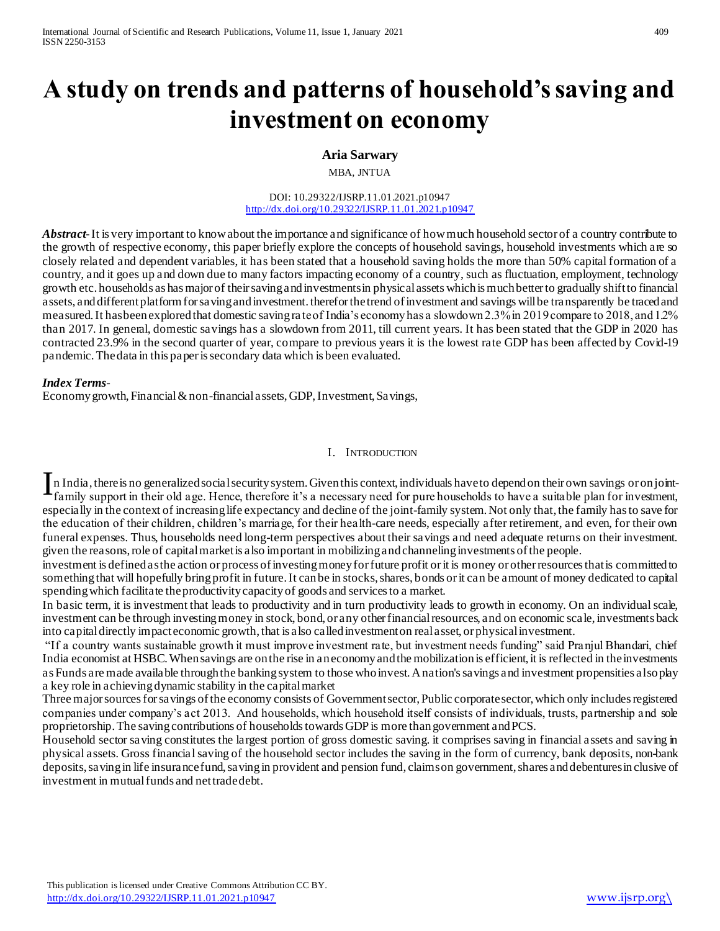# **A study on trends and patterns of household's saving and investment on economy**

### **Aria Sarwary**

MBA, JNTUA

DOI: 10.29322/IJSRP.11.01.2021.p10947 <http://dx.doi.org/10.29322/IJSRP.11.01.2021.p10947>

*Abstract***-**It is very important to know about the importance and significance of how much household sector of a country contribute to the growth of respective economy, this paper briefly explore the concepts of household savings, household investments which a re so closely related and dependent variables, it has been stated that a household saving holds the more than 50% capital formation of a country, and it goes up and down due to many factors impacting economy of a country, such as fluctuation, employment, technology growth etc. households as has major of their saving and investments in physical assets which is much better to gradually shift to financial assets, and different platform for saving and investment. therefor the trend of investment and savings will be transparently be traced and measured. It has been explored that domestic saving ra te of India's economy has a slowdown 2.3% in 2019 compare to 2018, and 1.2% than 2017. In general, domestic savings has a slowdown from 2011, till current years. It has been stated that the GDP in 2020 has contracted 23.9% in the second quarter of year, compare to previous years it is the lowest rate GDP has been affected by Covid-19 pandemic. The data in this paper is secondary data which is been evaluated.

#### *Index Terms*-

Economy growth, Financial & non-financial assets, GDP, Investment, Savings,

#### I. INTRODUCTION

In India, there is no generalized social security system. Given this context, individuals have to depend on their own savings or on joint-<br>Family support in their old age. Hence, therefore it's a necessary need for pure ho family support in their old age. Hence, therefore it's a necessary need for pure households to have a suitable plan for investment, especially in the context of increasing life expectancy and decline of the joint-family system. Not only that, the family has to save for the education of their children, children's marriage, for their health-care needs, especially after retirement, and even, for their own funeral expenses. Thus, households need long-term perspectives about their savings and need adequate returns on their investment. given the reasons, role of capital market is also important in mobilizing and channeling investments of the people.

investment is defined as the action or process of investing money for future profit or it is money or other resources that is committed to something that will hopefully bring profit in future. It can be in stocks, shares, bonds or it can be amount of money dedicated to capital spending which facilitate the productivity capacity of goods and services to a market.

In basic term, it is investment that leads to productivity and in turn productivity leads to growth in economy. On an individual scale, investment can be through investing money in stock, bond, or any other financial resources, and on economic scale, investments back into capital directly impact economic growth, that is also called investment on real asset, or physical investment.

"If a country wants sustainable growth it must improve investment rate, but investment needs funding" said Pranjul Bhandari, chief India economist at HSBC. When savings are on the rise in an economy and the mobilization is efficient, it is reflected in the investments as Funds are made available through the banking system to those who invest. A nation's savings and investment propensities also play a key role in achieving dynamic stability in the capital market

Three major sources for savings of the economy consists of Government sector, Public corporate sector, which only includes registered companies under company's act 2013. And households, which household itself consists of individuals, trusts, partnership and sole proprietorship. The saving contributions of households towards GDP is more than government and PCS.

Household sector saving constitutes the largest portion of gross domestic saving. it comprises saving in financial assets and saving in physical assets. Gross financial saving of the household sector includes the saving in the form of currency, bank deposits, non-bank deposits, saving in life insurance fund, saving in provident and pension fund, claims on government, shares and debentures in clusive of investment in mutual funds and net trade debt.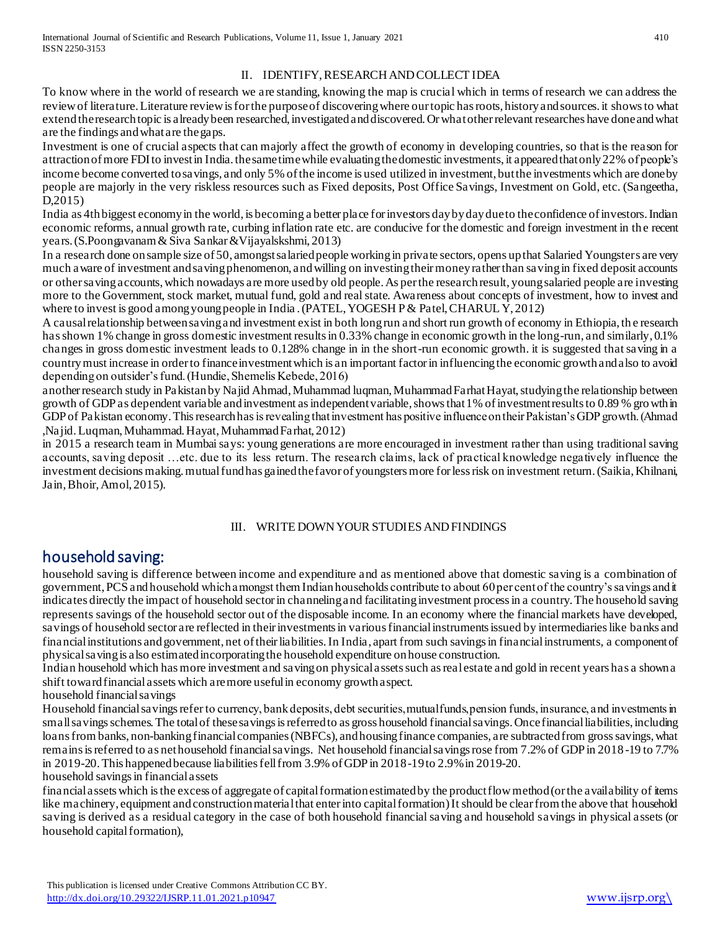## II. IDENTIFY,RESEARCHANDCOLLECT IDEA

To know where in the world of research we are standing, knowing the map is crucial which in terms of research we can address the review of literature. Literature review is for the purpose of discovering where our topic has roots, history and sources. it shows to what extend the research topic is already been researched, investigated and discovered. Or what other relevant researches have done and what are the findings and what are the gaps.

Investment is one of crucial aspects that can majorly affect the growth of economy in developing countries, so that is the reason for attraction of more FDI to invest in India. the same time while evaluating the domestic investments, it appeared that only 22% of people's income become converted to savings, and only 5% of the income is used utilized in investment, but the investments which are done by people are majorly in the very riskless resources such as Fixed deposits, Post Office Savings, Investment on Gold, etc. (Sangeetha, D,2015)

India as 4th biggest economy in the world, is becoming a better place for investors day by day due to the confidence of investors. Indian economic reforms, annual growth rate, curbing inflation rate etc. are conducive for the domestic and foreign investment in the recent years. (S.Poongavanam & Siva Sankar &Vijayalskshmi, 2013)

In a research done on sample size of 50, amongst salaried people working in private sectors, opens up that Salaried Youngsters are very much aware of investment and saving phenomenon, and willing on investing their money rather than saving in fixed deposit accounts or other saving accounts, which nowadays are more used by old people. As per the research result, young salaried people are investing more to the Government, stock market, mutual fund, gold and real state. Awareness about concepts of investment, how to invest and where to invest is good among young people in India . (PATEL, YOGESH P & Patel, CHARUL Y, 2012)

A causal relationship between saving and investment exist in both long run and short run growth of economy in Ethiopia, th e research has shown 1% change in gross domestic investment results in 0.33% change in economic growth in the long-run, and similarly, 0.1% changes in gross domestic investment leads to 0.128% change in in the short-run economic growth. it is suggested that saving in a country must increase in order to finance investment which is an important factor in influencing the economic growth and also to avoid depending on outsider's fund. (Hundie, Shemelis Kebede, 2016)

another research study in Pakistan by Najid Ahmad, Muhammad luqman, Muhammad Farhat Hayat, studying the relationship between growth of GDP as dependent variable and investment as independent variable, shows that 1% of investment results to 0.89 % growth in GDP of Pakistan economy. This research has is revealing that investment has positive influence on their Pakistan's GDP growth. (Ahmad ,Najid. Luqman, Muhammad. Hayat, Muhammad Farhat, 2012)

in 2015 a research team in Mumbai says: young generations are more encouraged in investment rather than using traditional saving accounts, saving deposit …etc. due to its less return. The research claims, lack of practical knowledge negatively influence the investment decisions making. mutual fund has gained the favor of youngsters more for less risk on investment return. (Saikia, Khilnani, Jain, Bhoir, Amol, 2015).

# III. WRITE DOWNYOUR STUDIES ANDFINDINGS

# household saving:

household saving is difference between income and expenditure and as mentioned above that domestic saving is a combination of government, PCS and household which amongst them Indian households contribute to about 60 per cent of the country's savings and it indicates directly the impact of household sector in channeling and facilitating investment process in a country. The household saving represents savings of the household sector out of the disposable income. In an economy where the financial markets have developed, savings of household sector are reflected in their investments in various financial instruments issued by intermediaries like banks and financial institutions and government, net of their liabilities. In India, apart from such savings in financial instruments, a component of physical saving is also estimated incorporating the household expenditure on house construction.

Indian household which has more investment and saving on physical assets such as real estate and gold in recent years has a shown a shift toward financial assets which are more useful in economy growth aspect.

household financial savings

Household financial savings refer to currency, bank deposits, debt securities, mutual funds, pension funds, insurance, and investments in small savings schemes. The total of these savings is referred to as gross household financial savings. Once financial liabilities, including loans frombanks, non-banking financial companies (NBFCs), and housing finance companies, are subtracted from gross savings, what remains is referred to as net household financial savings. Net household financial savings rose from 7.2% of GDP in 2018 -19 to 7.7% in 2019-20. This happened because liabilities fell from 3.9% of GDP in 2018-19 to 2.9% in 2019-20. household savings in financial assets

financial assets which is the excess of aggregate of capital formation estimated by the product flow method (or the availability of items like machinery, equipment and construction material that enter into capital formation) It should be clear from the above that household saving is derived as a residual category in the case of both household financial saving and household savings in physical assets (or household capital formation),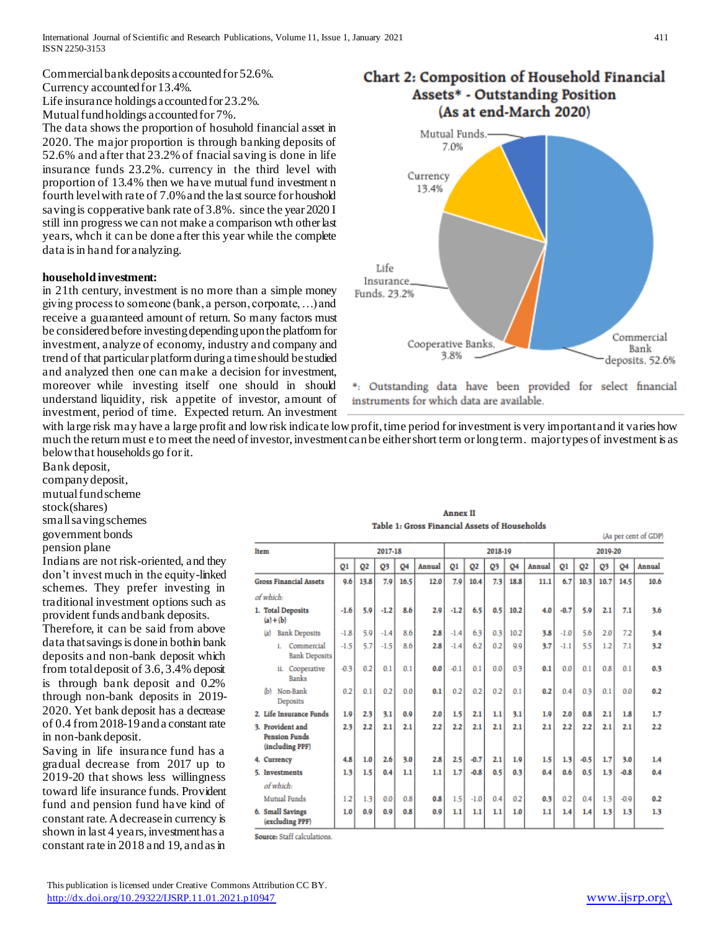Commercial bank deposits accounted for 52.6%. Currency accounted for 13.4%.

Life insurance holdings accounted for 23.2%.

Mutual fund holdings accounted for 7%.

The data shows the proportion of hosuhold financial asset in 2020. The major proportion is through banking deposits of 52.6% and after that 23.2% of fnacial saving is done in life insurance funds 23.2%. currency in the third level with proportion of 13.4% then we have mutual fund investment n fourth level with rate of 7.0% and the last source for houshold saving is copperative bank rate of 3.8%. since the year 2020 I still inn progress we can not make a comparison wth other last years, whch it can be done after this year while the complete data is in hand for analyzing.

#### **household investment:**

in 21th century, investment is no more than a simple money giving process to someone (bank, a person, corporate, …) and receive a guaranteed amount of return. So many factors must be considered before investing depending upon the platform for investment, analyze of economy, industry and company and trend of that particular platform during a time should be studied and analyzed then one can make a decision for investment, moreover while investing itself one should in should understand liquidity, risk appetite of investor, amount of investment, period of time. Expected return. An investment

**Item** 





\*: Outstanding data have been provided for select financial instruments for which data are available.

with large risk may have a large profit and low risk indicate low profit, time period for investment is very important and it varies how much the return must e to meet the need of investor, investment can be either short term or long term. major types of investment is as below that households go for it.

Bank deposit, company deposit, mutual fund scheme stock(shares)

small saving schemes

government bonds

pension plane

Indians are not risk-oriented, and they don't invest much in the equity-linked schemes. They prefer investing in traditional investment options such as provident funds and bank deposits. Therefore, it can be said from above data that savings is done in both in bank deposits and non-bank deposit which from total deposit of 3.6, 3.4% deposit is through bank deposit and 0.2%

through non-bank deposits in 2019- 2020. Yet bank deposit has a decrease of 0.4 from 2018-19 and a constant rate in non-bank deposit.

Saving in life insurance fund has a gradual decrease from 2017 up to 2019-20 that shows less willingness toward life insurance funds. Provident fund and pension fund have kind of constant rate. A decrease in currency is shown in last 4 years, investment has a constant rate in 2018 and 19, and as in

|               |                |                |                  |      | Table 1: Gross Financial Assets of Households |         |                |     |      |        |         |                |             |              |  |
|---------------|----------------|----------------|------------------|------|-----------------------------------------------|---------|----------------|-----|------|--------|---------|----------------|-------------|--------------|--|
|               |                |                |                  |      |                                               |         |                |     |      |        |         |                |             | (As per cent |  |
|               | 2017-18        |                |                  |      |                                               | 2018-19 |                |     |      |        | 2019-20 |                |             |              |  |
|               | O <sub>1</sub> | O <sub>2</sub> | 03               | 04   | Annual                                        | 01      | Q <sub>2</sub> | 03  | Q4   | Annual | 01      | O <sub>2</sub> | 03          | 04           |  |
| <b>Assets</b> | 9.6            | 13.8           | 7.9 <sub>1</sub> | 16.5 | 12.0                                          | 7.9     | 10.4           | 7.3 | 18.8 | 11.1   | 6.71    |                | $10.3$ 10.7 | 14.5         |  |

| <b>Annex II</b> |  |  |                                               |  |  |  |  |  |  |  |  |  |
|-----------------|--|--|-----------------------------------------------|--|--|--|--|--|--|--|--|--|
|                 |  |  | Table 1: Gross Financial Assets of Households |  |  |  |  |  |  |  |  |  |

|                                                             | 01     | Q2   | Q3     | 04   | Annual | 01     | O <sub>2</sub> | Q3               | 04   | Annual | Q1     | Q <sub>2</sub> | Q3   | 04     | <b>Annual</b> |
|-------------------------------------------------------------|--------|------|--------|------|--------|--------|----------------|------------------|------|--------|--------|----------------|------|--------|---------------|
| <b>Gross Financial Assets</b>                               | 9.6    | 13.8 | 7.9    | 16.5 | 12.0   | 7.9    | 10.4           | 7.3              | 18.8 | 11.1   | 6.7    | 10.3           | 10.7 | 14.5   | 10.6          |
| of which:                                                   |        |      |        |      |        |        |                |                  |      |        |        |                |      |        |               |
| 1. Total Deposits<br>$(a)+(b)$                              | $-1.6$ | 5.9  | $-1.2$ | 8.6  | 2.9    | $-1.2$ | 6.5            | 0.5              | 10.2 | 4.0    | $-0.7$ | 5.9            | 2.1  | 7.1    | 3.6           |
| <b>Bank Deposits</b><br>(a)                                 | $-1.8$ | 5.9  | $-1.4$ | 8.6  | 2.8    | $-1.4$ | 6.3            | 0.3 <sub>1</sub> | 10.2 | 3.8    | $-1.0$ | 5.6            | 2.0  | 7.2    | 3.4           |
| Commercial<br><b>Bank Deposits</b>                          | $-1.5$ | 5.7  | $-1.5$ | 8.6  | 2.8    | $-1.4$ | 6.2            | 0.2              | 9.9  | 3.7    | $-1.1$ | 5.5            | 1.2  | 7.1    | 3.2           |
| ii. Cooperative<br><b>Banks</b>                             | $-0.3$ | 0.2  | 0.1    | 0.1  | 0.0    | $-0.1$ | 0.1            | 0.0              | 0.3  | 0.1    | 0.0    | 0.1            | 0.8  | 0.1    | 0.3           |
| Non-Bank<br>(b)<br>Deposits                                 | 0.2    | 0.1  | 0.2    | 0.0  | 0.1    | 0.2    | 0.2            | 0.2              | 0.1  | 0.2    | 0.4    | 0.3            | 0.1  | 0.0    | 0.2           |
| 2. Life Insurance Funds                                     | 1.9    | 2.3  | 3.1    | 0.9  | 2.0    | 1.5    | 2.1            | 1.1              | 3.1  | 1.9    | 2.0    | 0.8            | 2.1  | 1.8    | 1.7           |
| 3. Provident and<br><b>Pension Funds</b><br>(including PPF) | 2.3    | 2.2  | 2.1    | 2.1  | 2.2    | 2.2    | 2.1            | 2.1              | 2.1  | 2.1    | 2.2    | 2.2            | 2.1  | 2.1    | 2.2           |
| 4. Currency                                                 | 4.8    | 1.0  | 2.6    | 3.0  | 2.8    | 2.5    | $-0.7$         | 2.1              | 1.9  | 1.5    | 1.3    | $-0.5$         | 1.7  | 3.0    | 1.4           |
| 5. Investments                                              | 1.3    | 1.5  | 0.4    | 1.1  | 1.1    | 1.7    | $-0.8$         | 0.5              | 0.3  | 0.4    | 0.6    | 0.5            | 1.3  | $-0.8$ | 0.4           |
| of which:                                                   |        |      |        |      |        |        |                |                  |      |        |        |                |      |        |               |
| <b>Mutual Funds</b>                                         | 1.2    | 1.3  | 0.0    | 0.8  | 0.8    | 1.5    | $-1.0$         | 0.4              | 0.2  | 0.3    | 0.2    | 0.4            | 1.3  | $-0.9$ | 0.2           |
| 6. Small Savings<br>(excluding PPF)                         | 1.0    | 0.9  | 0.9    | 0.8  | 0.9    | 1.1    | 1.1            | 1.1              | 1.0  | 1.1    | 1.4    | 1.4            | 1.3  | 1.3    | 1.3           |
| Source: Staff calculations.                                 |        |      |        |      |        |        |                |                  |      |        |        |                |      |        |               |

 This publication is licensed under Creative Commons Attribution CC BY. <http://dx.doi.org/10.29322/IJSRP.11.01.2021.p10947> [www.ijsrp.org\](http://ijsrp.org/)

of GDP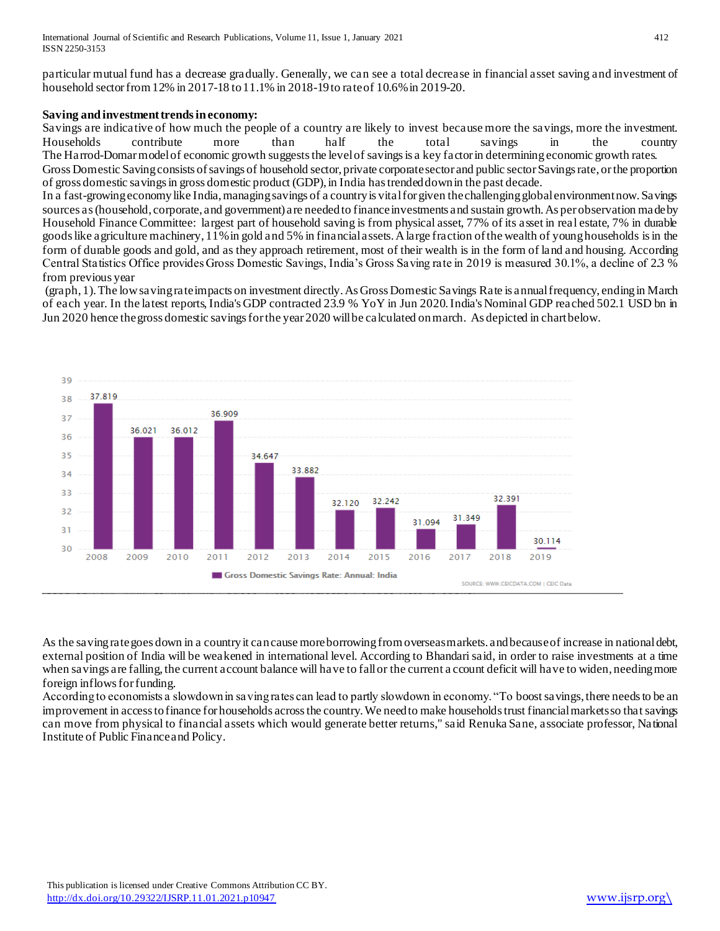particular mutual fund has a decrease gradually. Generally, we can see a total decrease in financial asset saving and investment of household sector from 12% in 2017-18 to 11.1% in 2018-19 to rate of 10.6% in 2019-20.

#### **Saving and investment trends in economy:**

Savings are indicative of how much the people of a country are likely to invest because more the savings, more the investment. Households contribute more than half the total savings in the country The Harrod-Domar model of economic growth suggests the level of savingsis a key factor in determining economic growth rates.

Gross Domestic Saving consists of savings of household sector, private corporate sector and public sector Savings rate, or the proportion of gross domestic savings in gross domestic product (GDP), in India has trended down in the past decade.

In a fast-growing economy like India, managing savings of a country is vital for given the challenging global environment now. Savings sources as (household, corporate, and government) are needed to finance investments and sustain growth. As per observation made by Household Finance Committee: largest part of household saving is from physical asset, 77% of its asset in real estate, 7% in durable goods like agriculture machinery, 11% in gold and 5% in financial assets. A large fraction of the wealth of young households is in the form of durable goods and gold, and as they approach retirement, most of their wealth is in the form of land and housing. According Central Statistics Office provides Gross Domestic Savings, India's Gross Saving rate in 2019 is measured 30.1%, a decline of 2.3 % from previous year

(graph, 1). The low saving rate impacts on investment directly. As Gross Domestic Savings Rate is annual frequency, ending in March of each year. In the latest reports,India's GDP contracted 23.9 % YoY in Jun 2020.India's Nominal GDP reached 502.1 USD bn in Jun 2020 hence the gross domestic savings for the year 2020 will be calculated on march. As depicted in chart below.



As the saving rate goes down in a country it can cause more borrowing from overseas markets. and because of increase in national debt, external position of India will be weakened in international level. According to Bhandari said, in order to raise investments at a time when savings are falling, the current account balance will have to fall or the current a ccount deficit will have to widen, needing more foreign inflows for funding.

According to economists a slowdown in saving rates can lead to partly slowdown in economy. "To [boost savings](https://www.livemint.com/Money/E6yCah6IdmZl1NTZ3SmM3I/Absence-of-equity-was-affecting-wealth-creation.html), there needs to be an improvement in access to finance for households across the country. We need to make households trust financial markets so that savings can move from physical to financial assets which would generate better returns," said Renuka Sane, associate professor, National Institute of Public Finance and Policy.